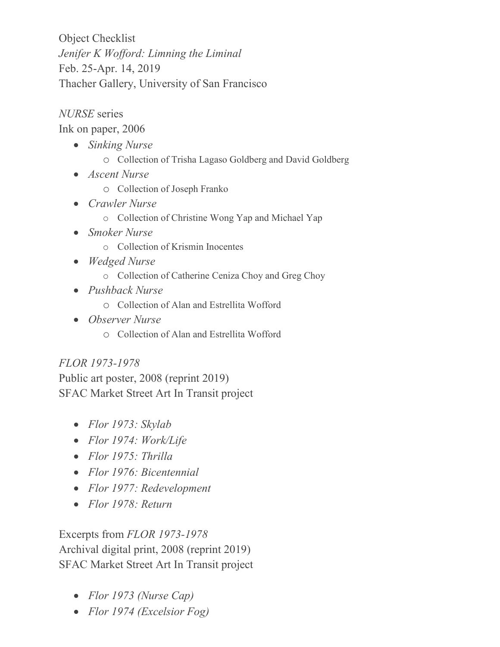Object Checklist *Jenifer K Wofford: Limning the Liminal* Feb. 25-Apr. 14, 2019 Thacher Gallery, University of San Francisco

*NURSE* series

Ink on paper, 2006

- *Sinking Nurse* 
	- o Collection of Trisha Lagaso Goldberg and David Goldberg
- *Ascent Nurse*
	- o Collection of Joseph Franko
- *Crawler Nurse*
	- o Collection of Christine Wong Yap and Michael Yap
- *Smoker Nurse*
	- o Collection of Krismin Inocentes
- *Wedged Nurse*
	- o Collection of Catherine Ceniza Choy and Greg Choy
- *Pushback Nurse*
	- o Collection of Alan and Estrellita Wofford
- *Observer Nurse*
	- o Collection of Alan and Estrellita Wofford

## *FLOR 1973-1978*

Public art poster, 2008 (reprint 2019) SFAC Market Street Art In Transit project

- *Flor 1973: Skylab*
- *Flor 1974: Work/Life*
- *Flor 1975: Thrilla*
- *Flor 1976: Bicentennial*
- *Flor 1977: Redevelopment*
- *Flor 1978: Return*

Excerpts from *FLOR 1973-1978* Archival digital print, 2008 (reprint 2019) SFAC Market Street Art In Transit project

- *Flor 1973 (Nurse Cap)*
- *Flor 1974 (Excelsior Fog)*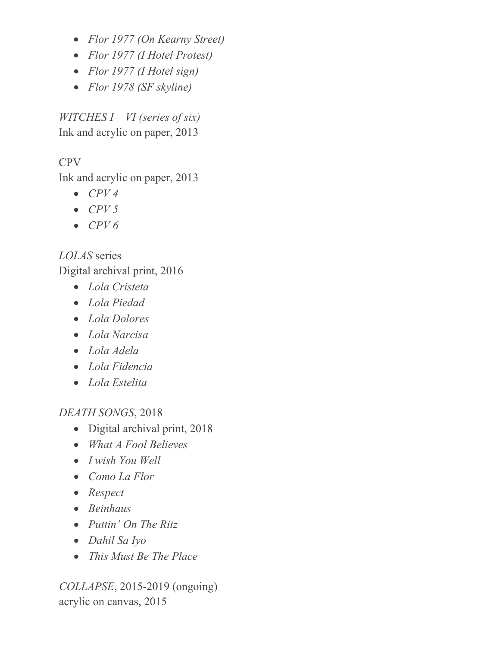- *Flor 1977 (On Kearny Street)*
- *Flor 1977 (I Hotel Protest)*
- *Flor 1977 (I Hotel sign)*
- *Flor 1978 (SF skyline)*

*WITCHES I – VI (series of six)* Ink and acrylic on paper, 2013

## CPV

Ink and acrylic on paper, 2013

- *CPV 4*
- *CPV 5*
- *CPV 6*

*LOLAS* series Digital archival print, 2016

- *Lola Cristeta*
- *Lola Piedad*
- *Lola Dolores*
- *Lola Narcisa*
- *Lola Adela*
- *Lola Fidencia*
- *Lola Estelita*

*DEATH SONGS*, 2018

- Digital archival print, 2018
- *What A Fool Believes*
- *I wish You Well*
- *Como La Flor*
- *Respect*
- *Beinhaus*
- *Puttin' On The Ritz*
- *Dahil Sa Iyo*
- *This Must Be The Place*

*COLLAPSE*, 2015-2019 (ongoing) acrylic on canvas, 2015